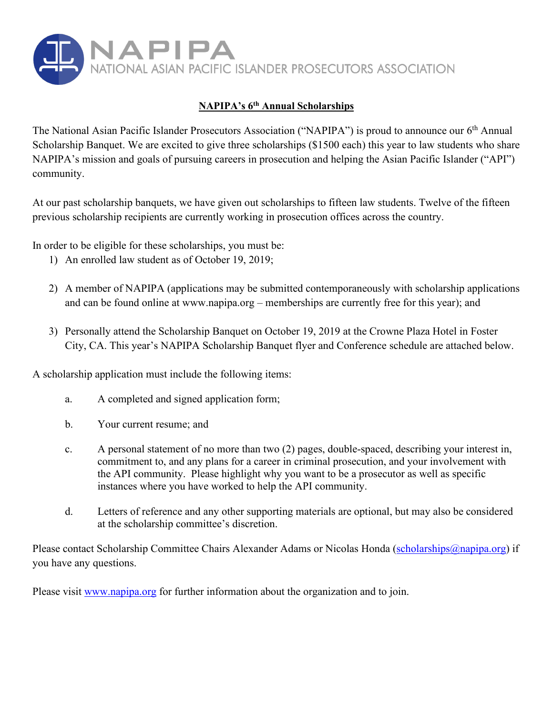

### **NAPIPA's 6th Annual Scholarships**

The National Asian Pacific Islander Prosecutors Association ("NAPIPA") is proud to announce our 6<sup>th</sup> Annual Scholarship Banquet. We are excited to give three scholarships (\$1500 each) this year to law students who share NAPIPA's mission and goals of pursuing careers in prosecution and helping the Asian Pacific Islander ("API") community.

At our past scholarship banquets, we have given out scholarships to fifteen law students. Twelve of the fifteen previous scholarship recipients are currently working in prosecution offices across the country.

In order to be eligible for these scholarships, you must be:

- 1) An enrolled law student as of October 19, 2019;
- 2) A member of NAPIPA (applications may be submitted contemporaneously with scholarship applications and can be found online at [www.napipa.org](http://www.napipa.org/) – memberships are currently free for this year); and
- 3) Personally attend the Scholarship Banquet on October 19, 2019 at the Crowne Plaza Hotel in Foster City, CA. This year's NAPIPA Scholarship Banquet flyer and Conference schedule are attached below.

A scholarship application must include the following items:

- a. A completed and signed application form;
- b. Your current resume; and
- c. A personal statement of no more than two (2) pages, double-spaced, describing your interest in, commitment to, and any plans for a career in criminal prosecution, and your involvement with the API community. Please highlight why you want to be a prosecutor as well as specific instances where you have worked to help the API community.
- d. Letters of reference and any other supporting materials are optional, but may also be considered at the scholarship committee's discretion.

Please contact Scholarship Committee Chairs Alexander Adams or Nicolas Honda (scholarships@napipa.org) if you have any questions.

Please visit [www.napipa.org](http://www.napipa.org/) for further information about the organization and to join.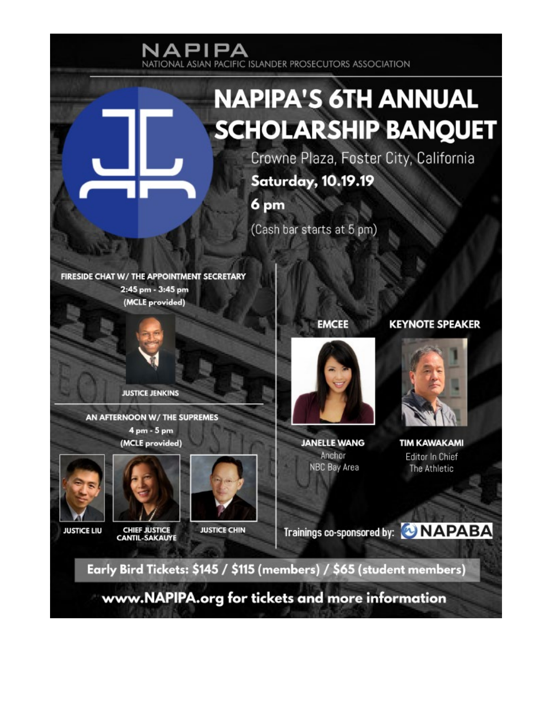

www.NAPIPA.org for tickets and more information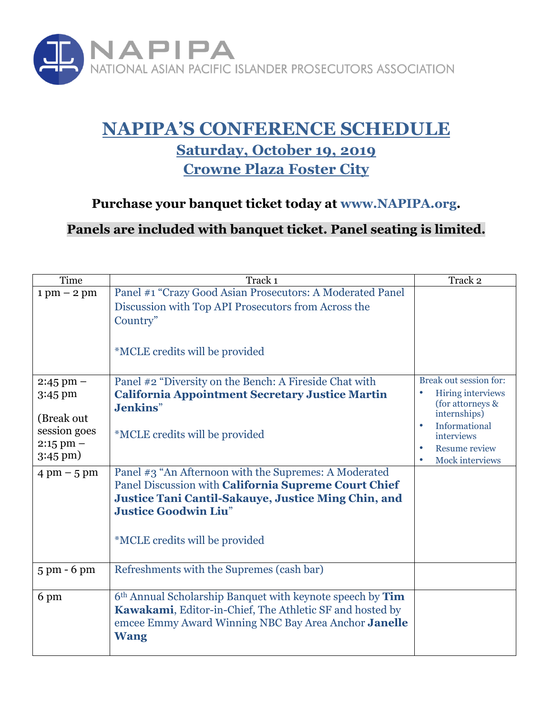

# **NAPIPA'S CONFERENCE SCHEDULE Saturday, October 19, 2019 Crowne Plaza Foster City**

## **Purchase your banquet ticket today at www.NAPIPA.org.**

**Panels are included with banquet ticket. Panel seating is limited.**

| Time                                                                                                           | Track <sub>1</sub>                                                                                                                                                                                                                                                                                                                                          | Track 2                                                                                                                                                                       |
|----------------------------------------------------------------------------------------------------------------|-------------------------------------------------------------------------------------------------------------------------------------------------------------------------------------------------------------------------------------------------------------------------------------------------------------------------------------------------------------|-------------------------------------------------------------------------------------------------------------------------------------------------------------------------------|
| $1 \text{ pm} - 2 \text{ pm}$                                                                                  | Panel #1 "Crazy Good Asian Prosecutors: A Moderated Panel<br>Discussion with Top API Prosecutors from Across the<br>Country"<br><i>*MCLE</i> credits will be provided                                                                                                                                                                                       |                                                                                                                                                                               |
| $2:45 \text{ pm} -$                                                                                            | Panel #2 "Diversity on the Bench: A Fireside Chat with                                                                                                                                                                                                                                                                                                      | Break out session for:                                                                                                                                                        |
| 3:45 pm<br>(Break out<br>session goes<br>$2:15$ pm $-$<br>$3:45 \text{ pm}$ )<br>$4 \text{ pm} - 5 \text{ pm}$ | <b>California Appointment Secretary Justice Martin</b><br>Jenkins"<br><i>*MCLE</i> credits will be provided<br>Panel #3 "An Afternoon with the Supremes: A Moderated<br>Panel Discussion with California Supreme Court Chief<br>Justice Tani Cantil-Sakauye, Justice Ming Chin, and<br><b>Justice Goodwin Liu"</b><br><i>*MCLE</i> credits will be provided | <b>Hiring interviews</b><br>$\bullet$<br>(for attorneys &<br>internships)<br>Informational<br>$\bullet$<br>interviews<br><b>Resume review</b><br>$\bullet$<br>Mock interviews |
| $5 \text{ pm}$ - 6 pm                                                                                          | Refreshments with the Supremes (cash bar)                                                                                                                                                                                                                                                                                                                   |                                                                                                                                                                               |
| 6 pm                                                                                                           | 6 <sup>th</sup> Annual Scholarship Banquet with keynote speech by Tim<br>Kawakami, Editor-in-Chief, The Athletic SF and hosted by<br>emcee Emmy Award Winning NBC Bay Area Anchor Janelle<br><b>Wang</b>                                                                                                                                                    |                                                                                                                                                                               |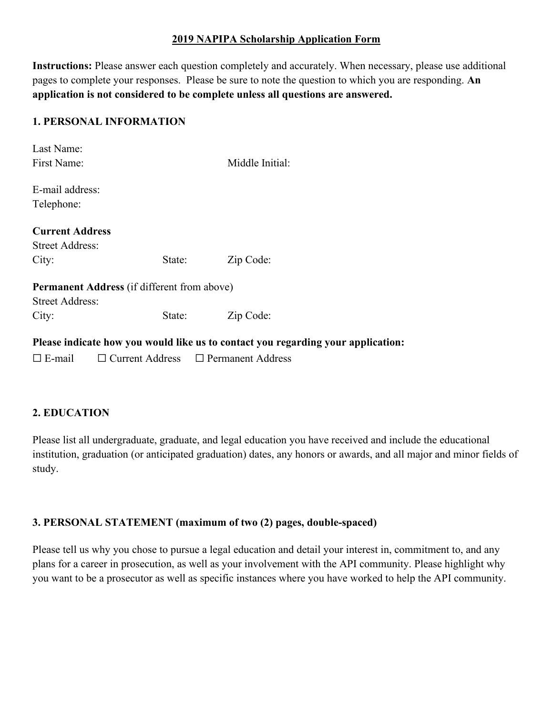#### **2019 NAPIPA Scholarship Application Form**

**Instructions:** Please answer each question completely and accurately. When necessary, please use additional pages to complete your responses. Please be sure to note the question to which you are responding. **An application is not considered to be complete unless all questions are answered.**

#### **1. PERSONAL INFORMATION**

| Last Name:                                                                       |        |                 |  |  |
|----------------------------------------------------------------------------------|--------|-----------------|--|--|
| First Name:                                                                      |        | Middle Initial: |  |  |
|                                                                                  |        |                 |  |  |
| E-mail address:                                                                  |        |                 |  |  |
| Telephone:                                                                       |        |                 |  |  |
|                                                                                  |        |                 |  |  |
| <b>Current Address</b>                                                           |        |                 |  |  |
| <b>Street Address:</b>                                                           |        |                 |  |  |
| City:                                                                            | State: | Zip Code:       |  |  |
| <b>Permanent Address</b> (if different from above)                               |        |                 |  |  |
| <b>Street Address:</b>                                                           |        |                 |  |  |
| City:                                                                            | State: | Zip Code:       |  |  |
| Please indicate how you would like us to contact you regarding your application: |        |                 |  |  |

☐ E-mail ☐ Current Address ☐ Permanent Address

#### **2. EDUCATION**

Please list all undergraduate, graduate, and legal education you have received and include the educational institution, graduation (or anticipated graduation) dates, any honors or awards, and all major and minor fields of study.

#### **3. PERSONAL STATEMENT (maximum of two (2) pages, double-spaced)**

Please tell us why you chose to pursue a legal education and detail your interest in, commitment to, and any plans for a career in prosecution, as well as your involvement with the API community. Please highlight why you want to be a prosecutor as well as specific instances where you have worked to help the API community.